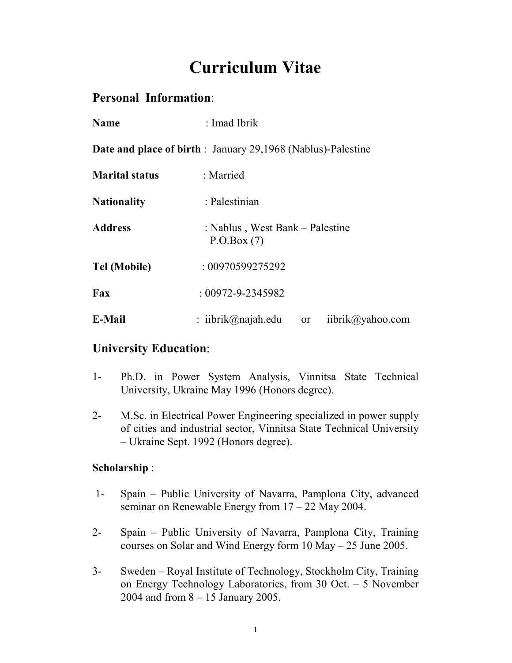# **Curriculum Vitae**

# **Personal Information**:

| <b>Name</b>                                                         | : Imad Ibrik                                            |
|---------------------------------------------------------------------|---------------------------------------------------------|
| <b>Date and place of birth</b> : January 29,1968 (Nablus)-Palestine |                                                         |
| <b>Marital status</b>                                               | : Married                                               |
| <b>Nationality</b>                                                  | : Palestinian                                           |
| <b>Address</b>                                                      | : Nablus, West Bank – Palestine<br>P.O.Box(7)           |
| <b>Tel (Mobile)</b>                                                 | : 00970599275292                                        |
| Fax                                                                 | $: 00972 - 9 - 2345982$                                 |
| <b>E-Mail</b>                                                       | : iibrik@najah.edu<br>iibrik@yahoo.com<br><sub>or</sub> |

# **University Education**:

- 1- Ph.D. in Power System Analysis, Vinnitsa State Technical University, Ukraine May 1996 (Honors degree).
- 2- M.Sc. in Electrical Power Engineering specialized in power supply of cities and industrial sector, Vinnitsa State Technical University – Ukraine Sept. 1992 (Honors degree).

# **Scholarship** :

- 1- Spain Public University of Navarra, Pamplona City, advanced seminar on Renewable Energy from 17 – 22 May 2004.
- 2- Spain Public University of Navarra, Pamplona City, Training courses on Solar and Wind Energy form 10 May – 25 June 2005.
- 3- Sweden Royal Institute of Technology, Stockholm City, Training on Energy Technology Laboratories, from 30 Oct. – 5 November 2004 and from 8 – 15 January 2005.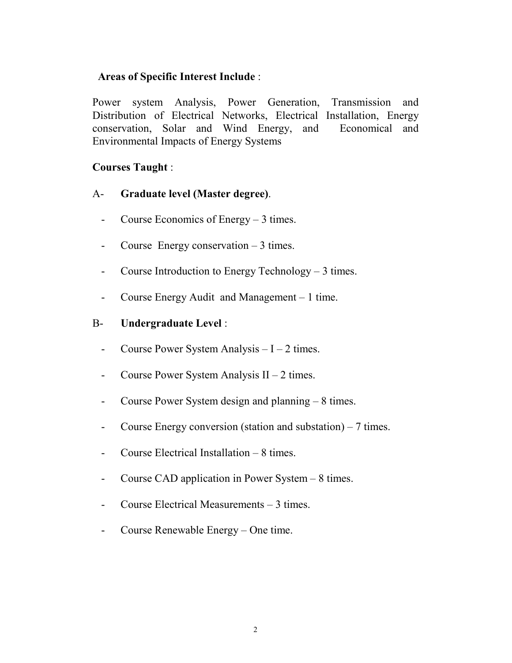# **Areas of Specific Interest Include** :

Power system Analysis, Power Generation, Transmission and Distribution of Electrical Networks, Electrical Installation, Energy conservation, Solar and Wind Energy, and Economical and Environmental Impacts of Energy Systems

# **Courses Taught** :

- A- **Graduate level (Master degree)**.
	- Course Economics of Energy 3 times.
	- Course Energy conservation 3 times.
	- Course Introduction to Energy Technology 3 times.
	- Course Energy Audit and Management 1 time.

# B- **Undergraduate Level** :

- Course Power System Analysis I 2 times.
- Course Power System Analysis II 2 times.
- Course Power System design and planning 8 times.
- Course Energy conversion (station and substation) 7 times.
- Course Electrical Installation 8 times.
- Course CAD application in Power System 8 times.
- Course Electrical Measurements 3 times.
- Course Renewable Energy One time.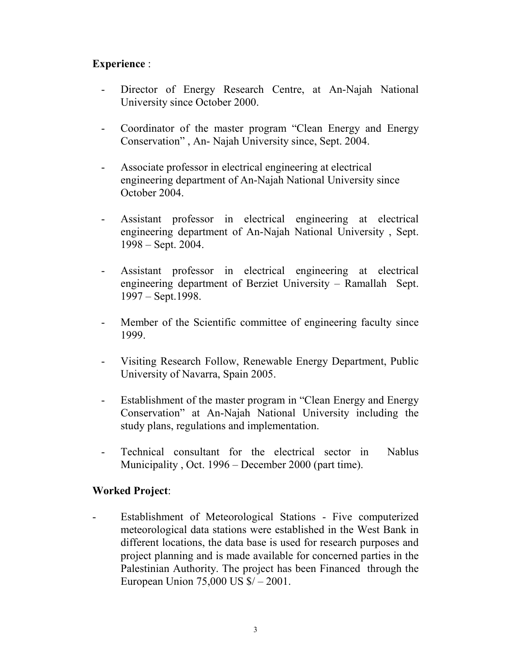# **Experience** :

- Director of Energy Research Centre, at An-Najah National University since October 2000.
- Coordinator of the master program "Clean Energy and Energy Conservation" , An- Najah University since, Sept. 2004.
- Associate professor in electrical engineering at electrical engineering department of An-Najah National University since October 2004.
- Assistant professor in electrical engineering at electrical engineering department of An-Najah National University , Sept. 1998 – Sept. 2004.
- Assistant professor in electrical engineering at electrical engineering department of Berziet University – Ramallah Sept. 1997 – Sept.1998.
- Member of the Scientific committee of engineering faculty since 1999.
- Visiting Research Follow, Renewable Energy Department, Public University of Navarra, Spain 2005.
- Establishment of the master program in "Clean Energy and Energy Conservation" at An-Najah National University including the study plans, regulations and implementation.
- Technical consultant for the electrical sector in Nablus Municipality , Oct. 1996 – December 2000 (part time).

# **Worked Project**:

- Establishment of Meteorological Stations - Five computerized meteorological data stations were established in the West Bank in different locations, the data base is used for research purposes and project planning and is made available for concerned parties in the Palestinian Authority. The project has been Financed through the European Union 75,000 US \$/ – 2001.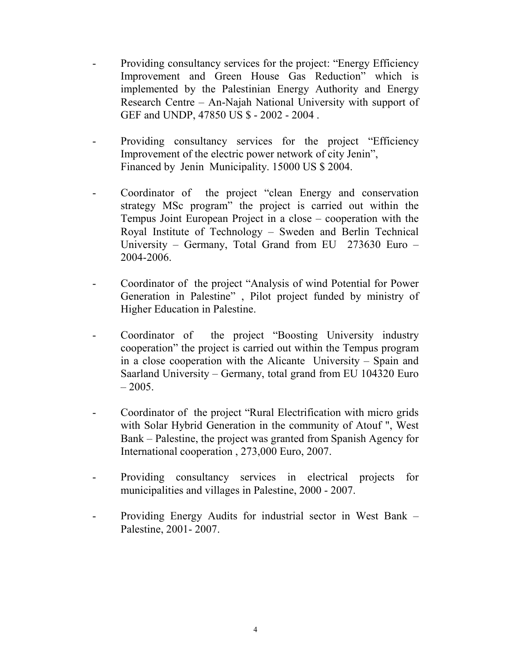- Providing consultancy services for the project: "Energy Efficiency" Improvement and Green House Gas Reduction" which is implemented by the Palestinian Energy Authority and Energy Research Centre – An-Najah National University with support of GEF and UNDP, 47850 US \$ - 2002 - 2004 .
- Providing consultancy services for the project "Efficiency" Improvement of the electric power network of city Jenin", Financed by Jenin Municipality. 15000 US \$ 2004.
- Coordinator of the project "clean Energy and conservation strategy MSc program" the project is carried out within the Tempus Joint European Project in a close – cooperation with the Royal Institute of Technology – Sweden and Berlin Technical University – Germany, Total Grand from EU 273630 Euro – 2004-2006.
- Coordinator of the project "Analysis of wind Potential for Power Generation in Palestine" , Pilot project funded by ministry of Higher Education in Palestine.
- Coordinator of the project "Boosting University industry cooperation" the project is carried out within the Tempus program in a close cooperation with the Alicante University – Spain and Saarland University – Germany, total grand from EU 104320 Euro  $-2005.$
- Coordinator of the project "Rural Electrification with micro grids with Solar Hybrid Generation in the community of Atouf ", West Bank – Palestine, the project was granted from Spanish Agency for International cooperation , 273,000 Euro, 2007.
- Providing consultancy services in electrical projects for municipalities and villages in Palestine, 2000 - 2007.
- Providing Energy Audits for industrial sector in West Bank Palestine, 2001- 2007.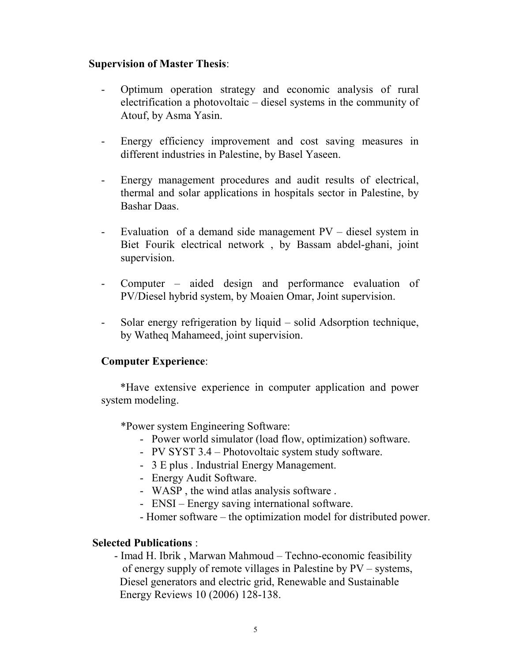### **Supervision of Master Thesis**:

- Optimum operation strategy and economic analysis of rural electrification a photovoltaic – diesel systems in the community of Atouf, by Asma Yasin.
- Energy efficiency improvement and cost saving measures in different industries in Palestine, by Basel Yaseen.
- Energy management procedures and audit results of electrical, thermal and solar applications in hospitals sector in Palestine, by Bashar Daas.
- Evaluation of a demand side management  $PV -$  diesel system in Biet Fourik electrical network , by Bassam abdel-ghani, joint supervision.
- Computer aided design and performance evaluation of PV/Diesel hybrid system, by Moaien Omar, Joint supervision.
- Solar energy refrigeration by liquid solid Adsorption technique, by Watheq Mahameed, joint supervision.

#### **Computer Experience**:

 \*Have extensive experience in computer application and power system modeling.

\*Power system Engineering Software:

- Power world simulator (load flow, optimization) software.
- PV SYST 3.4 Photovoltaic system study software.
- 3 E plus . Industrial Energy Management.
- Energy Audit Software.
- WASP , the wind atlas analysis software .
- ENSI Energy saving international software.
- Homer software the optimization model for distributed power.

# **Selected Publications** :

 - Imad H. Ibrik , Marwan Mahmoud – Techno-economic feasibility of energy supply of remote villages in Palestine by PV – systems, Diesel generators and electric grid, Renewable and Sustainable Energy Reviews 10 (2006) 128-138.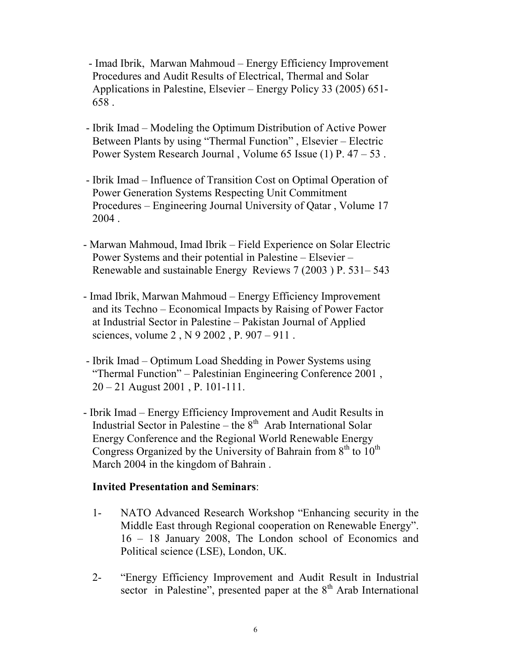- Imad Ibrik, Marwan Mahmoud – Energy Efficiency Improvement Procedures and Audit Results of Electrical, Thermal and Solar Applications in Palestine, Elsevier – Energy Policy 33 (2005) 651- 658 .

- Ibrik Imad Modeling the Optimum Distribution of Active Power Between Plants by using "Thermal Function" , Elsevier – Electric Power System Research Journal , Volume 65 Issue (1) P. 47 – 53 .
- Ibrik Imad Influence of Transition Cost on Optimal Operation of Power Generation Systems Respecting Unit Commitment Procedures – Engineering Journal University of Qatar , Volume 17 2004 .
- Marwan Mahmoud, Imad Ibrik Field Experience on Solar Electric Power Systems and their potential in Palestine – Elsevier – Renewable and sustainable Energy Reviews 7 (2003 ) P. 531– 543
- Imad Ibrik, Marwan Mahmoud Energy Efficiency Improvement and its Techno – Economical Impacts by Raising of Power Factor at Industrial Sector in Palestine – Pakistan Journal of Applied sciences, volume 2 , N 9 2002 , P. 907 – 911 .
- Ibrik Imad Optimum Load Shedding in Power Systems using "Thermal Function" – Palestinian Engineering Conference 2001 , 20 – 21 August 2001 , P. 101-111.
- Ibrik Imad Energy Efficiency Improvement and Audit Results in Industrial Sector in Palestine – the  $8<sup>th</sup>$  Arab International Solar Energy Conference and the Regional World Renewable Energy Congress Organized by the University of Bahrain from  $8<sup>th</sup>$  to  $10<sup>th</sup>$ March 2004 in the kingdom of Bahrain .

# **Invited Presentation and Seminars**:

- 1- NATO Advanced Research Workshop "Enhancing security in the Middle East through Regional cooperation on Renewable Energy". 16 – 18 January 2008, The London school of Economics and Political science (LSE), London, UK.
- 2- "Energy Efficiency Improvement and Audit Result in Industrial sector in Palestine", presented paper at the  $8<sup>th</sup>$  Arab International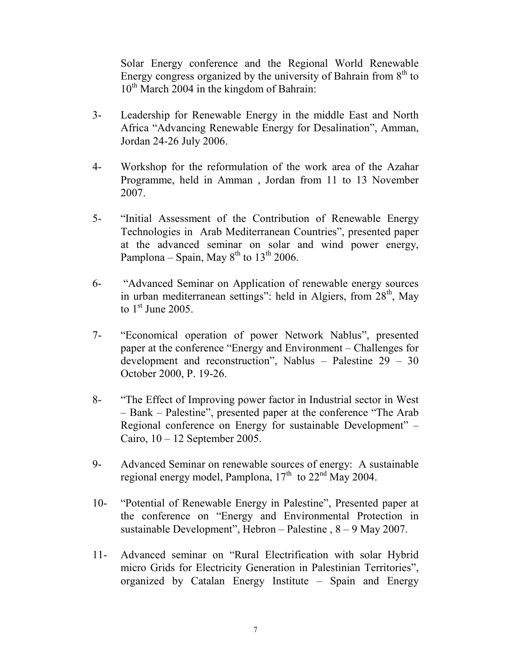Solar Energy conference and the Regional World Renewable Energy congress organized by the university of Bahrain from  $8<sup>th</sup>$  to  $10^{th}$  March 2004 in the kingdom of Bahrain:

- 3- Leadership for Renewable Energy in the middle East and North Africa "Advancing Renewable Energy for Desalination", Amman, Jordan 24-26 July 2006.
- 4- Workshop for the reformulation of the work area of the Azahar Programme, held in Amman , Jordan from 11 to 13 November 2007.
- 5- "Initial Assessment of the Contribution of Renewable Energy Technologies in Arab Mediterranean Countries", presented paper at the advanced seminar on solar and wind power energy, Pamplona – Spain, May  $8^{th}$  to  $13^{th}$  2006.
- 6- "Advanced Seminar on Application of renewable energy sources in urban mediterranean settings": held in Algiers, from  $28<sup>th</sup>$ , May to  $1<sup>st</sup>$  June 2005.
- 7- "Economical operation of power Network Nablus", presented paper at the conference "Energy and Environment – Challenges for development and reconstruction", Nablus – Palestine 29 – 30 October 2000, P. 19-26.
- 8- "The Effect of Improving power factor in Industrial sector in West – Bank – Palestine", presented paper at the conference "The Arab Regional conference on Energy for sustainable Development" – Cairo, 10 – 12 September 2005.
- 9- Advanced Seminar on renewable sources of energy: A sustainable regional energy model, Pamplona,  $17<sup>th</sup>$  to  $22<sup>nd</sup>$  May 2004.
- 10- "Potential of Renewable Energy in Palestine", Presented paper at the conference on "Energy and Environmental Protection in sustainable Development", Hebron – Palestine , 8 – 9 May 2007.
- 11- Advanced seminar on "Rural Electrification with solar Hybrid micro Grids for Electricity Generation in Palestinian Territories", organized by Catalan Energy Institute – Spain and Energy